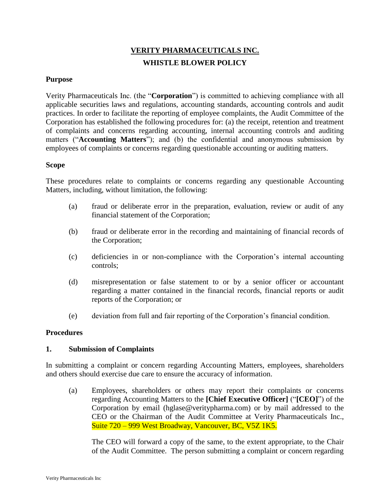# **VERITY PHARMACEUTICALS INC. WHISTLE BLOWER POLICY**

## **Purpose**

Verity Pharmaceuticals Inc. (the "**Corporation**") is committed to achieving compliance with all applicable securities laws and regulations, accounting standards, accounting controls and audit practices. In order to facilitate the reporting of employee complaints, the Audit Committee of the Corporation has established the following procedures for: (a) the receipt, retention and treatment of complaints and concerns regarding accounting, internal accounting controls and auditing matters ("**Accounting Matters**"); and (b) the confidential and anonymous submission by employees of complaints or concerns regarding questionable accounting or auditing matters.

### **Scope**

These procedures relate to complaints or concerns regarding any questionable Accounting Matters, including, without limitation, the following:

- (a) fraud or deliberate error in the preparation, evaluation, review or audit of any financial statement of the Corporation;
- (b) fraud or deliberate error in the recording and maintaining of financial records of the Corporation;
- (c) deficiencies in or non-compliance with the Corporation's internal accounting controls;
- (d) misrepresentation or false statement to or by a senior officer or accountant regarding a matter contained in the financial records, financial reports or audit reports of the Corporation; or
- (e) deviation from full and fair reporting of the Corporation's financial condition.

#### **Procedures**

# **1. Submission of Complaints**

In submitting a complaint or concern regarding Accounting Matters, employees, shareholders and others should exercise due care to ensure the accuracy of information.

(a) Employees, shareholders or others may report their complaints or concerns regarding Accounting Matters to the **[Chief Executive Officer]** ("**[CEO]**") of the Corporation by email (hglase@veritypharma.com) or by mail addressed to the CEO or the Chairman of the Audit Committee at Verity Pharmaceuticals Inc., Suite 720 – 999 West Broadway, Vancouver, BC, V5Z 1K5.

The CEO will forward a copy of the same, to the extent appropriate, to the Chair of the Audit Committee. The person submitting a complaint or concern regarding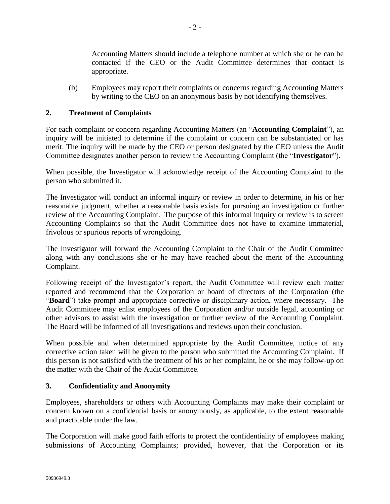Accounting Matters should include a telephone number at which she or he can be contacted if the CEO or the Audit Committee determines that contact is appropriate.

(b) Employees may report their complaints or concerns regarding Accounting Matters by writing to the CEO on an anonymous basis by not identifying themselves.

# **2. Treatment of Complaints**

For each complaint or concern regarding Accounting Matters (an "**Accounting Complaint**"), an inquiry will be initiated to determine if the complaint or concern can be substantiated or has merit. The inquiry will be made by the CEO or person designated by the CEO unless the Audit Committee designates another person to review the Accounting Complaint (the "**Investigator**").

When possible, the Investigator will acknowledge receipt of the Accounting Complaint to the person who submitted it.

The Investigator will conduct an informal inquiry or review in order to determine, in his or her reasonable judgment, whether a reasonable basis exists for pursuing an investigation or further review of the Accounting Complaint. The purpose of this informal inquiry or review is to screen Accounting Complaints so that the Audit Committee does not have to examine immaterial, frivolous or spurious reports of wrongdoing.

The Investigator will forward the Accounting Complaint to the Chair of the Audit Committee along with any conclusions she or he may have reached about the merit of the Accounting Complaint.

Following receipt of the Investigator's report, the Audit Committee will review each matter reported and recommend that the Corporation or board of directors of the Corporation (the "**Board**") take prompt and appropriate corrective or disciplinary action, where necessary. The Audit Committee may enlist employees of the Corporation and/or outside legal, accounting or other advisors to assist with the investigation or further review of the Accounting Complaint. The Board will be informed of all investigations and reviews upon their conclusion.

When possible and when determined appropriate by the Audit Committee, notice of any corrective action taken will be given to the person who submitted the Accounting Complaint. If this person is not satisfied with the treatment of his or her complaint, he or she may follow-up on the matter with the Chair of the Audit Committee.

# **3. Confidentiality and Anonymity**

Employees, shareholders or others with Accounting Complaints may make their complaint or concern known on a confidential basis or anonymously, as applicable, to the extent reasonable and practicable under the law.

The Corporation will make good faith efforts to protect the confidentiality of employees making submissions of Accounting Complaints; provided, however, that the Corporation or its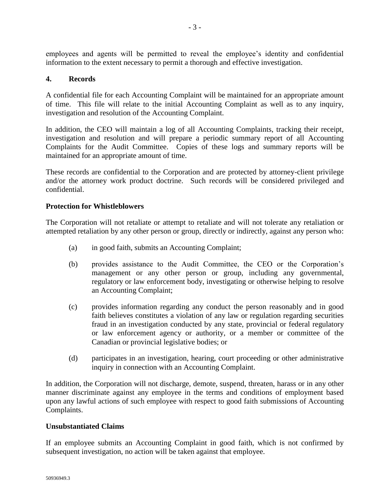employees and agents will be permitted to reveal the employee's identity and confidential information to the extent necessary to permit a thorough and effective investigation.

# **4. Records**

A confidential file for each Accounting Complaint will be maintained for an appropriate amount of time. This file will relate to the initial Accounting Complaint as well as to any inquiry, investigation and resolution of the Accounting Complaint.

In addition, the CEO will maintain a log of all Accounting Complaints, tracking their receipt, investigation and resolution and will prepare a periodic summary report of all Accounting Complaints for the Audit Committee. Copies of these logs and summary reports will be maintained for an appropriate amount of time.

These records are confidential to the Corporation and are protected by attorney-client privilege and/or the attorney work product doctrine. Such records will be considered privileged and confidential.

### **Protection for Whistleblowers**

The Corporation will not retaliate or attempt to retaliate and will not tolerate any retaliation or attempted retaliation by any other person or group, directly or indirectly, against any person who:

- (a) in good faith, submits an Accounting Complaint;
- (b) provides assistance to the Audit Committee, the CEO or the Corporation's management or any other person or group, including any governmental, regulatory or law enforcement body, investigating or otherwise helping to resolve an Accounting Complaint;
- (c) provides information regarding any conduct the person reasonably and in good faith believes constitutes a violation of any law or regulation regarding securities fraud in an investigation conducted by any state, provincial or federal regulatory or law enforcement agency or authority, or a member or committee of the Canadian or provincial legislative bodies; or
- (d) participates in an investigation, hearing, court proceeding or other administrative inquiry in connection with an Accounting Complaint.

In addition, the Corporation will not discharge, demote, suspend, threaten, harass or in any other manner discriminate against any employee in the terms and conditions of employment based upon any lawful actions of such employee with respect to good faith submissions of Accounting Complaints.

#### **Unsubstantiated Claims**

If an employee submits an Accounting Complaint in good faith, which is not confirmed by subsequent investigation, no action will be taken against that employee.